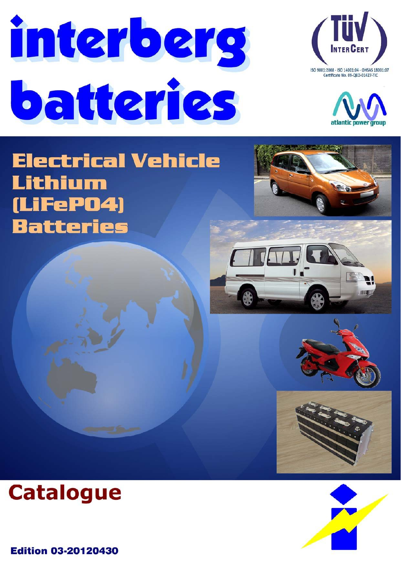





# **Electrical Vehicle** Lithium (LiFeP04) **Batteries**









**Edition 03-20120430** 

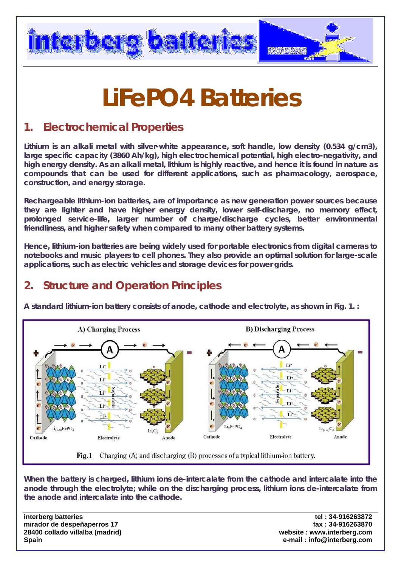

# **LiFePO4 Batteries**

### **1. Electrochemical Properties**

**Lithium is an alkali metal with silver-white appearance, soft handle, low density (0.534 g/cm3), large specific capacity (3860 Ah/kg), high electrochemical potential, high electro-negativity, and high energy density. As an alkali metal, lithium is highly reactive, and hence it is found in nature as compounds that can be used for different applications, such as pharmacology, aerospace, construction, and energy storage.**

**Rechargeable lithium-ion batteries, are of importance as new generation power sources because they are lighter and have higher energy density, lower self-discharge, no memory effect, prolonged service-life, larger number of charge/discharge cycles, better environmental friendliness, and higher safety when compared to many other battery systems.** 

**Hence, lithium-ion batteries are being widely used for portable electronics from digital cameras to notebooks and music players to cell phones. They also provide an optimal solution for large-scale applications, such as electric vehicles and storage devices for power grids.** 

### **2. Structure and Operation Principles**

**A standard lithium-ion battery consists of anode, cathode and electrolyte, as shown in Fig. 1. :** 



Fig. 1 Charging (A) and discharging (B) processes of a typical lithium-ion battery.

**When the battery is charged, lithium ions de-intercalate from the cathode and intercalate into the anode through the electrolyte; while on the discharging process, lithium ions de-intercalate from the anode and intercalate into the cathode.** 

**mirador de despeñaperros 17 fax : 34-916263870 28400 collado villalba (madrid) website : www.interberg.com Spain e-mail : info@interberg.com**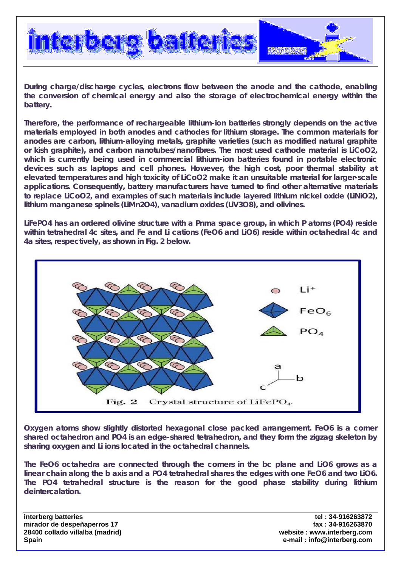

**During charge/discharge cycles, electrons flow between the anode and the cathode, enabling the conversion of chemical energy and also the storage of electrochemical energy within the battery.** 

**Therefore, the performance of rechargeable lithium-ion batteries strongly depends on the active materials employed in both anodes and cathodes for lithium storage. The common materials for anodes are carbon, lithium-alloying metals, graphite varieties (such as modified natural graphite or kish graphite), and carbon nanotubes/nanofibres. The most used cathode material is LiCoO2, which is currently being used in commercial lithium-ion batteries found in portable electronic devices such as laptops and cell phones. However, the high cost, poor thermal stability at elevated temperatures and high toxicity of LiCoO2 make it an unsuitable material for larger-scale applications. Consequently, battery manufacturers have turned to find other alternative materials to replace LiCoO2, and examples of such materials include layered lithium nickel oxide (LiNiO2), lithium manganese spinels (LiMn2O4), vanadium oxides (LiV3O8), and olivines.** 

**LiFePO4 has an ordered olivine structure with a Pnma space group, in which P atoms (PO4) reside within tetrahedral 4c sites, and Fe and Li cations (FeO6 and LiO6) reside within octahedral 4c and 4a sites, respectively, as shown in Fig. 2 below.** 



**Oxygen atoms show slightly distorted hexagonal close packed arrangement. FeO6 is a corner shared octahedron and PO4 is an edge-shared tetrahedron, and they form the zigzag skeleton by sharing oxygen and Li ions located in the octahedral channels.** 

**The FeO6 octahedra are connected through the corners in the bc plane and LiO6 grows as a linear chain along the b axis and a PO4 tetrahedral shares the edges with one FeO6 and two LiO6. The PO4 tetrahedral structure is the reason for the good phase stability during lithium deintercalation.** 

**mirador de despeñaperros 17 fax : 34-916263870 28400 collado villalba (madrid) website : www.interberg.com Spain e-mail : info@interberg.com**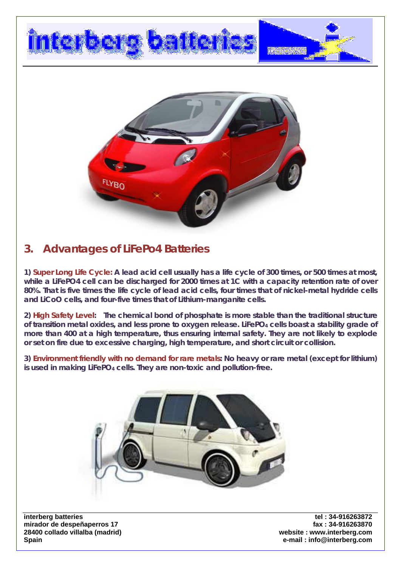

### **3. Advantages of LiFePo4 Batteries**

**1) Super Long Life Cycle: A lead acid cell usually has a life cycle of 300 times, or 500 times at most, while a LiFePO4 cell can be discharged for 2000 times at 1C with a capacity retention rate of over 80%. That is five times the life cycle of lead acid cells, four times that of nickel-metal hydride cells and LiCoO cells, and four-five times that of Lithium-manganite cells.** 

**2) High Safety Level: The chemical bond of phosphate is more stable than the traditional structure**  of transition metal oxides, and less prone to oxygen release. LiFePO<sub>4</sub> cells boast a stability grade of **more than 400 at a high temperature, thus ensuring internal safety. They are not likely to explode or set on fire due to excessive charging, high temperature, and short circuit or collision.** 

**3) Environment friendly with no demand for rare metals: No heavy or rare metal (except for lithium) is used in making LiFePO4 cells. They are non-toxic and pollution-free.** 



**mirador de despeñaperros 17 fax : 34-916263870 28400 collado villalba (madrid) website : www.interberg.com Spain e-mail : info@interberg.com**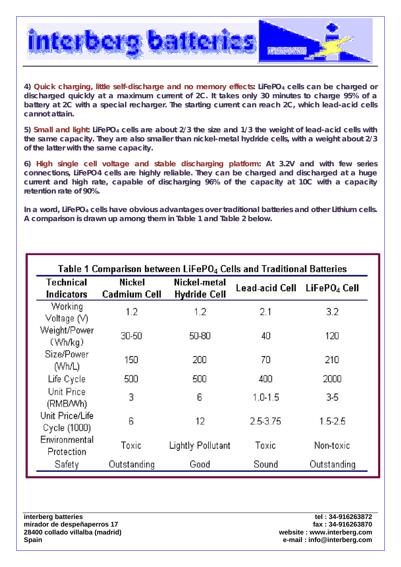

**4) Quick charging, little self-discharge and no memory effects: LiFePO4 cells can be charged or discharged quickly at a maximum current of 2C. It takes only 30 minutes to charge 95% of a battery at 2C with a special recharger. The starting current can reach 2C, which lead-acid cells cannot attain.** 

**5) Small and light: LiFePO4 cells are about 2/3 the size and 1/3 the weight of lead-acid cells with the same capacity. They are also smaller than nickel-metal hydride cells, with a weight about 2/3 of the latter with the same capacity.** 

**6) High single cell voltage and stable discharging platform: At 3.2V and with few series connections, LiFePO4 cells are highly reliable. They can be charged and discharged at a huge current and high rate, capable of discharging 96% of the capacity at 10C with a capacity retention rate of 90%.** 

In a word, LiFePO<sub>4</sub> cells have obvious advantages over traditional batteries and other Lithium cells. **A comparison is drawn up among them in Table 1 and Table 2 below.** 

| Table 1 Comparison between LiFePO4 Cells and Traditional Batteries |                                      |                                     |                |                          |  |
|--------------------------------------------------------------------|--------------------------------------|-------------------------------------|----------------|--------------------------|--|
| Technical<br>Indicators                                            | <b>Nickel</b><br><b>Cadmium Cell</b> | Nickel-metal<br><b>Hydride Cell</b> | Lead-acid Cell | LiFePO <sub>4</sub> Cell |  |
| Working<br>Voltage (V)                                             | 1.2                                  | 1.2                                 | 2.1            | 3.2                      |  |
| Weight/Power<br>(Wh/kg)                                            | 30-50                                | 50-80                               | 40             | 120                      |  |
| Size/Power<br>(Wh/L)                                               | 150                                  | 200                                 | 70             | 210                      |  |
| Life Cycle                                                         | 500                                  | 500                                 | 400            | 2000                     |  |
| Unit Price<br>(RMB/Wh)                                             | 3                                    | 6                                   | $1.0 - 1.5$    | $3-5$                    |  |
| Unit Price/Life<br>Cycle (1000)                                    | 6                                    | 12                                  | 2.5-3.75       | $1.5 - 2.5$              |  |
| Environmental<br>Protection                                        | Toxic                                | Lightly Pollutant                   | Toxic          | Non-toxic                |  |
| Safety                                                             | Outstanding                          | Good                                | Sound          | Outstanding              |  |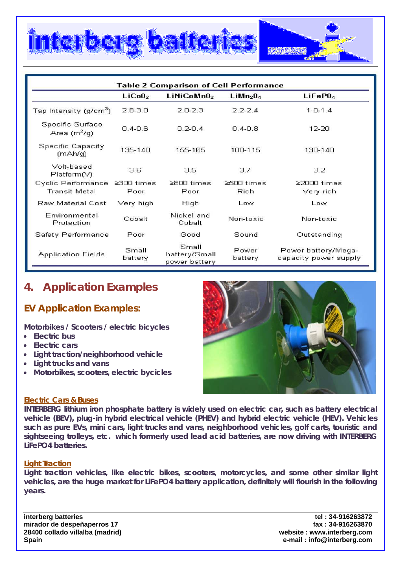

| <b>Table 2 Comparison of Cell Performance</b> |                          |                                         |                                  |                                              |
|-----------------------------------------------|--------------------------|-----------------------------------------|----------------------------------|----------------------------------------------|
|                                               | LiCoO <sub>2</sub>       | LiNiCoMn0 <sub>2</sub>                  | LiMn <sub>2</sub> 0 <sub>4</sub> | LiFeP0 <sub>4</sub>                          |
| Tap Intensity (g/cm <sup>3</sup> )            | $2.8 - 3.0$              | $2.0 - 2.3$                             | $2.2 - 2.4$                      | $1.0 - 1.4$                                  |
| Specific Surface<br>Area $(m^2/q)$            | $0.4 - 0.6$              | $0.2 - 0.4$                             | $0.4 - 0.8$                      | $12 - 20$                                    |
| Specific Capacity<br>(mAh/q)                  | 135-140                  | 155-165                                 | 100-115                          | 130-140                                      |
| Volt-based<br>Platform(V)                     | 3.6                      | 3.5                                     | 3.7                              | 3.2                                          |
| Cyclic Performance<br><b>Transit Metal</b>    | $\geq$ 300 times<br>Poor | ≥800 times<br>Poor                      | $\geq$ 500 times<br>Rich         | $\geq$ 2000 times<br>Very rich               |
| Raw Material Cost                             | Very high                | High                                    | Low                              | Low                                          |
| Environmental<br>Protection                   | Cobalt                   | Nickel and<br>Cobalt                    | Non-toxic                        | Non-toxic                                    |
| Safety Performance                            | Poor                     | Good                                    | Sound                            | Outstanding                                  |
| <b>Application Fields</b>                     | Small<br>battery         | Small<br>battery/Small<br>power battery | Power<br>battery                 | Power battery/Mega-<br>capacity power supply |

### **4. Application Examples**

### **EV Application Examples:**

**Motorbikes / Scooters / electric bicycles** 

• **Electric bus** 

I

- **Electric cars**
- **Light traction/neighborhood vehicle**
- **Light trucks and vans**
- **Motorbikes, scooters, electric bycicles**



### **Electric Cars & Buses**

**INTERBERG lithium iron phosphate battery is widely used on electric car, such as battery electrical vehicle (BEV), plug-in hybrid electrical vehicle (PHEV) and hybrid electric vehicle (HEV). Vehicles such as pure EVs, mini cars, light trucks and vans, neighborhood vehicles, golf carts, touristic and sightseeing trolleys, etc. which formerly used lead acid batteries, are now driving with INTERBERG LiFePO4 batteries.** 

### **Light Traction**

**Light traction vehicles, like electric bikes, scooters, motorcycles, and some other similar light vehicles, are the huge market for LiFePO4 battery application, definitely will flourish in the following years.** 

**mirador de despeñaperros 17 fax : 34-916263870 28400 collado villalba (madrid) website : www.interberg.com Spain e-mail : info@interberg.com**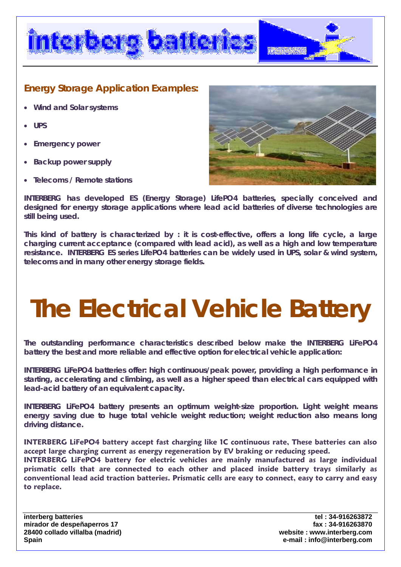

### **Energy Storage Application Examples:**

- **Wind and Solar systems**
- **UPS**
- **Emergency power**
- **Backup power supply**
- **Telecoms / Remote stations**



**INTERBERG has developed ES (Energy Storage) LifePO4 batteries, specially conceived and designed for energy storage applications where lead acid batteries of diverse technologies are still being used.** 

**This kind of battery is characterized by : it is cost-effective, offers a long life cycle, a large charging current acceptance (compared with lead acid), as well as a high and low temperature resistance. INTERBERG ES series LifePO4 batteries can be widely used in UPS, solar & wind system, telecoms and in many other energy storage fields.** 

# **The Electrical Vehicle Battery**

**The outstanding performance characteristics described below make the INTERBERG LiFePO4 battery the best and more reliable and effective option for electrical vehicle application:** 

**INTERBERG LiFePO4 batteries offer: high continuous/peak power, providing a high performance in starting, accelerating and climbing, as well as a higher speed than electrical cars equipped with lead-acid battery of an equivalent capacity.** 

**INTERBERG LiFePO4 battery presents an optimum weight-size proportion. Light weight means energy saving due to huge total vehicle weight reduction; weight reduction also means long driving distance.** 

**INTERBERG LiFePO4 battery accept fast charging like 1C continuous rate, These batteries can also accept large charging current as energy regeneration by EV braking or reducing speed.** 

**INTERBERG LiFePO4 battery for electric vehicles are mainly manufactured as large individual prismatic cells that are connected to each other and placed inside battery trays similarly as conventional lead acid traction batteries. Prismatic cells are easy to connect, easy to carry and easy to replace.** 

**mirador de despeñaperros 17 fax : 34-916263870 28400 collado villalba (madrid) website : www.interberg.com Spain e-mail : info@interberg.com**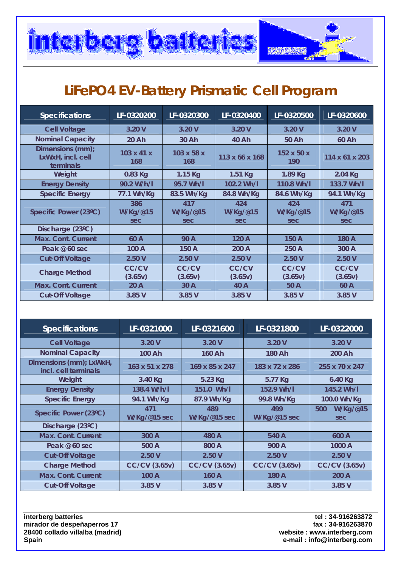

### **LiFePO4 EV-Battery Prismatic Cell Program**

| <b>Specifications</b>                              | LF-0320200                    | LF-0320300             | LF-0320400              | LF-0320500             | LF-0320600              |
|----------------------------------------------------|-------------------------------|------------------------|-------------------------|------------------------|-------------------------|
| <b>Cell Voltage</b>                                | 3.20V                         | 3.20V                  | 3.20V                   | 3.20V                  | 3.20V                   |
| <b>Nominal Capacity</b>                            | 20 Ah                         | 30 Ah                  | 40 Ah                   | 50 Ah                  | 60 Ah                   |
| Dimensions (mm);<br>LxWxH, incl. cell<br>terminals | $103 \times 41 \times$<br>168 | 103 x 58 x<br>168      | 113 x 66 x 168          | 152 x 50 x<br>190      | 114 x 61 x 203          |
| Weight                                             | 0.83 Kg                       | $1.15$ Kg              | 1.51 Kg                 | 1.89 Kg                | 2.04 Kg                 |
| <b>Energy Density</b>                              | 90.2 W/h/l                    | 95.7 Wh/l              | 102.2 Wh/l              | 110.8 Wh/l             | 133.7 Wh/l              |
| <b>Specific Energy</b>                             | 77.1 Wh/Kg                    | 83.5 Wh/Kg             | 84.8 Wh/Kg              | 84.6 Wh/Kg             | 94.1 Wh/Kg              |
| Specific Power (23°C)                              | 386<br>W/Kg/@15<br>sec        | 417<br>W/Kg/@15<br>sec | 424<br>W/Kg/@15<br>sec  | 424<br>W/Kg/@15<br>sec | 471<br>W/Kg/@15<br>sec  |
| Discharge (23°C)                                   |                               |                        |                         |                        |                         |
| <b>Max. Cont. Current</b>                          | 60 A                          | 90 A                   | 120 A                   | 150 A                  | 180 A                   |
| Peak @ 60 sec                                      | 100 A                         | 150 A                  | 200 A                   | 250 A                  | 300 A                   |
| <b>Cut-Off Voltage</b>                             | 2.50V                         | 2.50V                  | 2.50V                   | 2.50V                  | 2.50V                   |
| <b>Charge Method</b>                               | <b>CC/CV</b><br>(3.65v)       | CC/CV<br>(3.65v)       | <b>CC/CV</b><br>(3.65v) | CC/CV<br>(3.65v)       | <b>CC/CV</b><br>(3.65v) |
| <b>Max. Cont. Current</b>                          | 20A                           | 30 A                   | 40 A                    | 50 A                   | 60 A                    |
| <b>Cut-Off Voltage</b>                             | 3.85 V                        | 3.85V                  | 3.85 V                  | 3.85V                  | 3.85 V                  |

| <b>Specifications</b>                           | LF-0321000                      | LF-0321600           | LF-0321800                      | LF-0322000             |
|-------------------------------------------------|---------------------------------|----------------------|---------------------------------|------------------------|
| <b>Cell Voltage</b>                             | 3.20V                           | 3.20V                | 3.20V                           | 3.20V                  |
| <b>Nominal Capacity</b>                         | 100 Ah                          | 160 Ah               | 180 Ah                          | 200 Ah                 |
| Dimensions (mm); LxWxH,<br>incl. cell terminals | $163 \times 51 \times 278$      | 169 x 85 x 247       | 183 x 72 x 286                  | 255 x 70 x 247         |
| Weight                                          | 3.40 Kg                         | 5.23 Kg              | 5.77 Kg                         | 6.40 Kg                |
| <b>Energy Density</b>                           | 138.4 W/h/l                     | 151.0 Wh/l           | 152.9 Wh/l                      | 145.2 Wh/l             |
| <b>Specific Energy</b>                          | 94.1 Wh/Kg                      | 87.9 Wh/Kg           | 99.8 Wh/Kg                      | 100.0 Wh/Kg            |
| Specific Power (23°C)                           | 471<br>$W/Kg/\mathcal{Q}15$ sec | 489<br>W/Kg/@15 sec  | 499<br>$W/Kg/\mathcal{Q}15$ sec | W/Kg/@15<br>500<br>sec |
| Discharge (23°C)                                |                                 |                      |                                 |                        |
| Max. Cont. Current                              | 300 A                           | 480 A                | 540 A                           | 600 A                  |
| Peak @ 60 sec                                   | 500 A                           | 800 A                | 900 A                           | 1000 A                 |
| <b>Cut-Off Voltage</b>                          | 2.50V                           | 2.50V                | 2.50V                           | 2.50V                  |
| <b>Charge Method</b>                            | <b>CC/CV (3.65v)</b>            | <b>CC/CV (3.65v)</b> | <b>CC/CV (3.65v)</b>            | <b>CC/CV (3.65v)</b>   |
| <b>Max. Cont. Current</b>                       | 100 A                           | 160 A                | 180 A                           | 200 A                  |
| <b>Cut-Off Voltage</b>                          | 3.85 V                          | 3.85 V               | 3.85 V                          | 3.85 V                 |

**mirador de despeñaperros 17 fax : 34-916263870**  28400 collado villalba (madrid)<br>Spain

**interberg batteries** tel : 34-916263872 **Spain e-mail : info@interberg.com**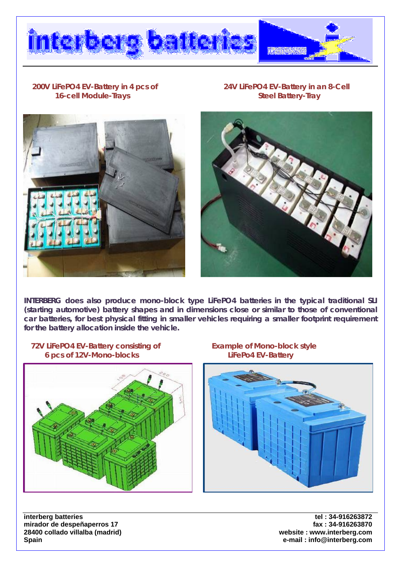

### **16-cell Module-Trays Steel Battery-Tray and Steel Battery-Tray**

 **200V LiFePO4 EV-Battery in 4 pcs of 24V LiFePO4 EV-Battery in an 8-Cell** 





**INTERBERG does also produce mono-block type LiFePO4 batteries in the typical traditional SLI (starting automotive) battery shapes and in dimensions close or similar to those of conventional car batteries, for best physical fitting in smaller vehicles requiring a smaller footprint requirement for the battery allocation inside the vehicle.** 







**interberg batteries** tel : 34-916263872 **mirador de despeñaperros 17 fax : 34-916263870 28400 collado villalba (madrid) Spain e-mail : info@interberg.com**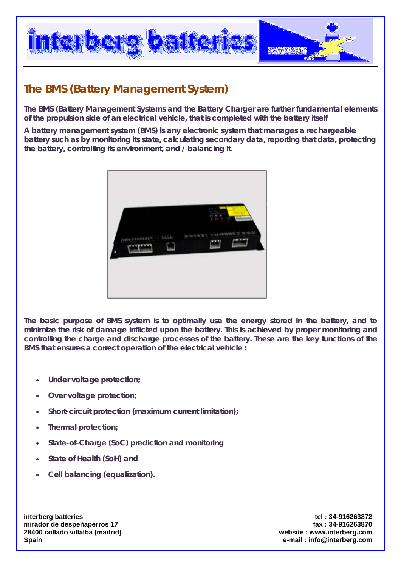

### **The BMS (Battery Management System)**

**The BMS (Battery Management Systems and the Battery Charger are further fundamental elements of the propulsion side of an electrical vehicle, that is completed with the battery itself** 

**A battery management system (BMS) is any electronic system that manages a rechargeable battery such as by monitoring its state, calculating secondary data, reporting that data, protecting the battery, controlling its environment, and / balancing it.** 



**The basic purpose of BMS system is to optimally use the energy stored in the battery, and to minimize the risk of damage inflicted upon the battery. This is achieved by proper monitoring and controlling the charge and discharge processes of the battery. These are the key functions of the BMS that ensures a correct operation of the electrical vehicle :** 

- **Under voltage protection;**
- **Over voltage protection;**
- **Short-circuit protection (maximum current limitation);**
- **Thermal protection;**
- **State-of-Charge (SoC) prediction and monitoring**
- **State of Health (SoH) and**
- **Cell balancing (equalization).**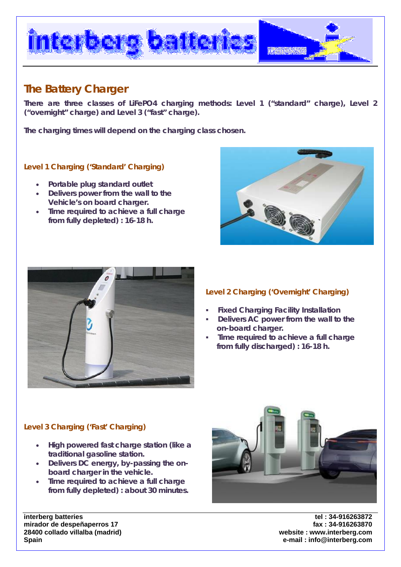

### **The Battery Charger**

**There are three classes of LiFePO4 charging methods: Level 1 ("standard" charge), Level 2 ("overnight" charge) and Level 3 ("fast" charge).** 

**The charging times will depend on the charging class chosen.** 

### **Level 1 Charging ('Standard' Charging)**

- **Portable plug standard outlet**
- **Delivers power from the wall to the Vehicle's on board charger.**
- **Time required to achieve a full charge from fully depleted) : 16-18 h.**





### **Level 2 Charging ('Overnight' Charging)**

- **Fixed Charging Facility Installation**
- **Delivers AC power from the wall to the on-board charger.**
- **Time required to achieve a full charge from fully discharged) : 16-18 h.**

### **Level 3 Charging ('Fast' Charging)**

- **High powered fast charge station (like a traditional gasoline station.**
- **Delivers DC energy, by-passing the onboard charger in the vehicle.**
- **Time required to achieve a full charge from fully depleted) : about 30 minutes.**



**mirador de despeñaperros 17 fax : 34-916263870 28400 collado villalba (madrid) website : www.interberg.com Spain e-mail : info@interberg.com**